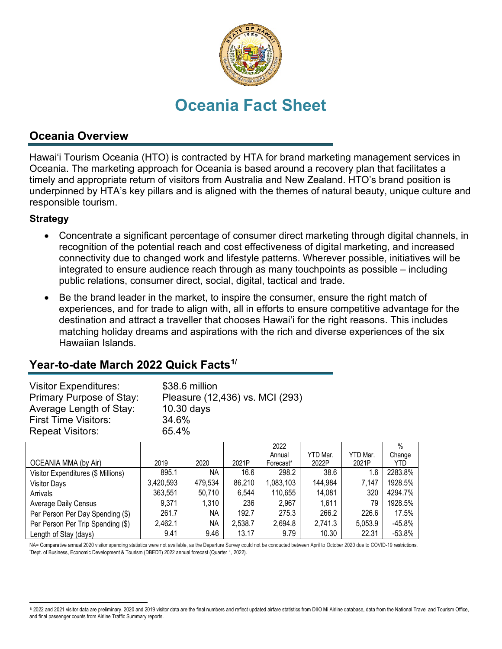

# **Oceania Fact Sheet**

# **Oceania Overview**

Hawai'i Tourism Oceania (HTO) is contracted by HTA for brand marketing management services in Oceania. The marketing approach for Oceania is based around a recovery plan that facilitates a timely and appropriate return of visitors from Australia and New Zealand. HTO's brand position is underpinned by HTA's key pillars and is aligned with the themes of natural beauty, unique culture and responsible tourism.

#### **Strategy**

- Concentrate a significant percentage of consumer direct marketing through digital channels, in recognition of the potential reach and cost effectiveness of digital marketing, and increased connectivity due to changed work and lifestyle patterns. Wherever possible, initiatives will be integrated to ensure audience reach through as many touchpoints as possible – including public relations, consumer direct, social, digital, tactical and trade.
- Be the brand leader in the market, to inspire the consumer, ensure the right match of experiences, and for trade to align with, all in efforts to ensure competitive advantage for the destination and attract a traveller that chooses Hawai'i for the right reasons. This includes matching holiday dreams and aspirations with the rich and diverse experiences of the six Hawaiian Islands.

## **Year-to-date March 2022 Quick Facts[1/](#page-0-0)**

| Pleasure (12,436) vs. MCI (293) |
|---------------------------------|
|                                 |
|                                 |
|                                 |
|                                 |

|                                    |           |         |         | 2022      |          |          | $\%$     |
|------------------------------------|-----------|---------|---------|-----------|----------|----------|----------|
|                                    |           |         |         | Annual    | YTD Mar. | YTD Mar. | Change   |
| <b>OCEANIA MMA (by Air)</b>        | 2019      | 2020    | 2021P   | Forecast* | 2022P    | 2021P    | YTD.     |
| Visitor Expenditures (\$ Millions) | 895.1     | NA.     | 16.6    | 298.2     | 38.6     | 1.6      | 2283.8%  |
| <b>Visitor Days</b>                | 3,420,593 | 479,534 | 86,210  | 1,083,103 | 144,984  | 7,147    | 1928.5%  |
| Arrivals                           | 363,551   | 50,710  | 6,544   | 110,655   | 14,081   | 320      | 4294.7%  |
| <b>Average Daily Census</b>        | 9,371     | 1,310   | 236     | 2,967     | 1,611    | 79       | 1928.5%  |
| Per Person Per Day Spending (\$)   | 261.7     | NA      | 192.7   | 275.3     | 266.2    | 226.6    | 17.5%    |
| Per Person Per Trip Spending (\$)  | 2,462.1   | NA      | 2,538.7 | 2,694.8   | 2,741.3  | 5,053.9  | $-45.8%$ |
| Length of Stay (days)              | 9.41      | 9.46    | 13.17   | 9.79      | 10.30    | 22.31    | $-53.8%$ |

NA= Comparative annual 2020 visitor spending statistics were not available, as the Departure Survey could not be conducted between April to October 2020 due to COVID-19 restrictions. Dept. of Business, Economic Development & Tourism (DBEDT) 2022 annual forecast (Quarter 1, 2022).

<span id="page-0-0"></span><sup>1/ 2022</sup> and 2021 visitor data are preliminary. 2020 and 2019 visitor data are the final numbers and reflect updated airfare statistics from DIIO Mi Airline database, data from the National Travel and Tourism Office, and final passenger counts from Airline Traffic Summary reports.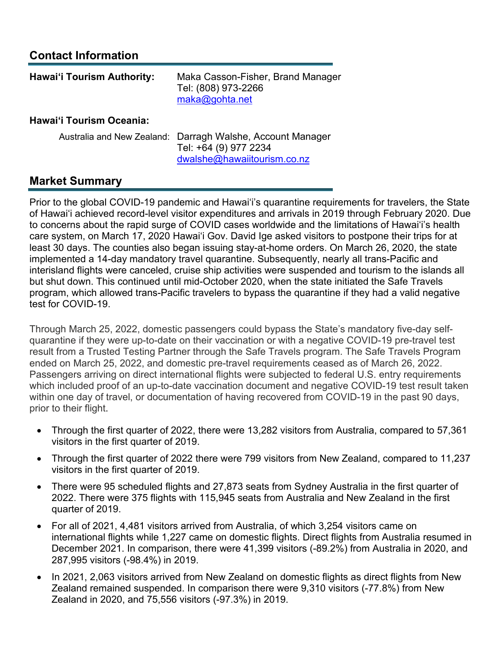# **Contact Information**

| <b>Hawai'i Tourism Authority:</b> | Maka Casson-Fisher, Brand Manager<br>Tel: (808) 973-2266<br>maka@gohta.net |
|-----------------------------------|----------------------------------------------------------------------------|
| <b>Hawai'i Tourism Oceania:</b>   |                                                                            |

| Australia and New Zealand: Darragh Walshe, Account Manager |
|------------------------------------------------------------|
| Tel: +64 (9) 977 2234                                      |
| dwalshe@hawaiitourism.co.nz                                |

## **Market Summary**

Prior to the global COVID-19 pandemic and Hawai'i's quarantine requirements for travelers, the State of Hawai'i achieved record-level visitor expenditures and arrivals in 2019 through February 2020. Due to concerns about the rapid surge of COVID cases worldwide and the limitations of Hawai'i's health care system, on March 17, 2020 Hawai'i Gov. David Ige asked visitors to [postpone their trips](https://www.staradvertiser.com/2020/03/17/breaking-news/hawaii-records-4-more-cases-of-coronavirus-including-big-islands-first-case/) for at least 30 days. The counties also began issuing stay-at-home orders. On March 26, 2020, the state implemented a 14-day mandatory travel quarantine. Subsequently, nearly all trans-Pacific and interisland flights were canceled, cruise ship activities were suspended and tourism to the islands all but shut down. This continued until mid-October 2020, when the state initiated the Safe Travels program, which allowed trans-Pacific travelers to bypass the quarantine if they had a valid negative test for COVID-19.

Through March 25, 2022, domestic passengers could bypass the State's mandatory five-day selfquarantine if they were up-to-date on their vaccination or with a negative COVID-19 pre-travel test result from a Trusted Testing Partner through the Safe Travels program. The Safe Travels Program ended on March 25, 2022, and domestic pre-travel requirements ceased as of March 26, 2022. Passengers arriving on direct international flights were subjected to federal U.S. entry requirements which included proof of an up-to-date vaccination document and negative COVID-19 test result taken within one day of travel, or documentation of having recovered from COVID-19 in the past 90 days, prior to their flight.

- Through the first quarter of 2022, there were 13,282 visitors from Australia, compared to 57,361 visitors in the first quarter of 2019.
- Through the first quarter of 2022 there were 799 visitors from New Zealand, compared to 11,237 visitors in the first quarter of 2019.
- There were 95 scheduled flights and 27,873 seats from Sydney Australia in the first quarter of 2022. There were 375 flights with 115,945 seats from Australia and New Zealand in the first quarter of 2019.
- For all of 2021, 4,481 visitors arrived from Australia, of which 3,254 visitors came on international flights while 1,227 came on domestic flights. Direct flights from Australia resumed in December 2021. In comparison, there were 41,399 visitors (-89.2%) from Australia in 2020, and 287,995 visitors (-98.4%) in 2019.
- In 2021, 2,063 visitors arrived from New Zealand on domestic flights as direct flights from New Zealand remained suspended. In comparison there were 9,310 visitors (-77.8%) from New Zealand in 2020, and 75,556 visitors (-97.3%) in 2019.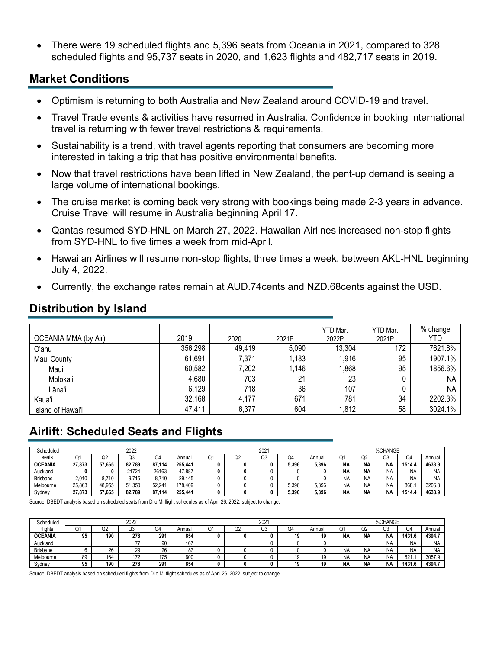• There were 19 scheduled flights and 5,396 seats from Oceania in 2021, compared to 328 scheduled flights and 95,737 seats in 2020, and 1,623 flights and 482,717 seats in 2019.

#### **Market Conditions**

- Optimism is returning to both Australia and New Zealand around COVID-19 and travel.
- Travel Trade events & activities have resumed in Australia. Confidence in booking international travel is returning with fewer travel restrictions & requirements.
- Sustainability is a trend, with travel agents reporting that consumers are becoming more interested in taking a trip that has positive environmental benefits.
- Now that travel restrictions have been lifted in New Zealand, the pent-up demand is seeing a large volume of international bookings.
- The cruise market is coming back very strong with bookings being made 2-3 years in advance. Cruise Travel will resume in Australia beginning April 17.
- Qantas resumed SYD-HNL on March 27, 2022. Hawaiian Airlines increased non-stop flights from SYD-HNL to five times a week from mid-April.
- Hawaiian Airlines will resume non-stop flights, three times a week, between AKL-HNL beginning July 4, 2022.
- Currently, the exchange rates remain at AUD.74cents and NZD.68cents against the USD.

| <b>OCEANIA MMA (by Air)</b> | 2019    | 2020   | 2021P | YTD Mar.<br>2022P | YTD Mar.<br>2021P | % change<br>YTD |
|-----------------------------|---------|--------|-------|-------------------|-------------------|-----------------|
| O'ahu                       | 356,298 | 49,419 | 5,090 | 13,304            | 172               | 7621.8%         |
| Maui County                 | 61,691  | 7,371  | 1,183 | 1,916             | 95                | 1907.1%         |
| Maui                        | 60,582  | 7,202  | 1,146 | 868,              | 95                | 1856.6%         |
| Moloka'i                    | 4,680   | 703    | 21    | 23                |                   | NА              |
| Lāna'i                      | 6,129   | 718    | 36    | 107               |                   | NА              |
| Kaua'i                      | 32,168  | 4,177  | 671   | 781               | 34                | 2202.3%         |
| Island of Hawai'i           | 47,411  | 6,377  | 604   | 1,812             | 58                | 3024.1%         |

## **Distribution by Island**

# **Airlift: Scheduled Seats and Flights**

| Scheduled       | 2022    |        |        |        |         | 2021 |    |    |       | %CHANGE |           |                |           |           |           |
|-----------------|---------|--------|--------|--------|---------|------|----|----|-------|---------|-----------|----------------|-----------|-----------|-----------|
| seats           | r.<br>u | Q2     | Q3     | Q4     | Annual  | σ.   | Q2 | Q3 | Q     | Annual  | Q1        | Q <sub>2</sub> | Q3        | Q4        | Annual    |
| <b>OCEANIA</b>  | 27.873  | 57.665 | 82.789 | 87.114 | 255.441 |      |    |    | 5.396 | 5.396   | <b>NA</b> | <b>NA</b>      | <b>NA</b> | 1514.4    | 4633.9    |
| Auckland        |         |        | 21724  | 26163  | 47.887  |      |    |    |       |         | <b>NA</b> | <b>NA</b>      | <b>NA</b> | <b>NA</b> | <b>NA</b> |
| <b>Brisbane</b> | 2.010   | 8,710  | 9.715  | 8,710  | 29.145  |      |    |    |       |         | NA        | ΝA             | <b>NA</b> | <b>NA</b> | <b>NA</b> |
| Melbourne       | 25.863  | 48.955 | 51.350 | 52.241 | 178.409 |      |    |    | 5.396 | 5.396   | <b>NA</b> | <b>NA</b>      | <b>NA</b> | 868.      | 3206.3    |
| Sydney          | 27.873  | 57.665 | 82.789 | 87.114 | 255.441 |      |    |    | 5.396 | 5.396   | <b>NA</b> | <b>NA</b>      | <b>NA</b> | 1514.4    | 4633.9    |

Source: DBEDT analysis based on scheduled seats from Diio Mi flight schedules as of April 26, 2022, subject to change.

| Scheduled       | 2022   |          |     |     |        | 2021         |    |    |    |          | %CHANGE   |           |           |           |           |
|-----------------|--------|----------|-----|-----|--------|--------------|----|----|----|----------|-----------|-----------|-----------|-----------|-----------|
| flights         | ົ<br>u | Λí<br>uz | Q3  | Q4  | Annual | $\sim$<br>O. | Q2 | Q3 | Q4 | Annuai   | Q1        | ∩∩<br>QZ  | Q3        | Q4        | Annual    |
| <b>OCEANIA</b>  | 95     | 190      | 278 | 291 | 854    |              |    |    | 19 | 19       | <b>NA</b> | <b>NA</b> | <b>NA</b> | 1431.6    | 4394.7    |
| Auckland        |        |          |     | 90  | 167    |              |    |    |    |          |           |           | <b>NA</b> | <b>NA</b> | <b>NA</b> |
| <b>Brisbane</b> |        | 26       | 29  | 26  | n-     |              |    |    |    |          | N۵        | <b>NA</b> | <b>NA</b> | <b>NA</b> | <b>NA</b> |
| Melbourne       | 89     | 164      | 172 | 175 | 600    |              |    |    | 19 | 10<br>ıз | NA        | <b>NA</b> | <b>NA</b> | 821.      | 3057.9    |
| Sydney          | 95     | 190      | 278 | 291 | 854    |              |    |    | 19 | 10       | ΝA        | <b>NA</b> | <b>NA</b> | 1431.6    | 4394.7    |

Source: DBEDT analysis based on scheduled flights from Diio Mi flight schedules as of April 26, 2022, subject to change.